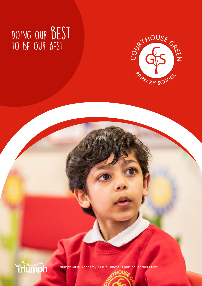### DOING OUR BEST to be our best





Triumph Multi Academy 'Our business is putting learners first'.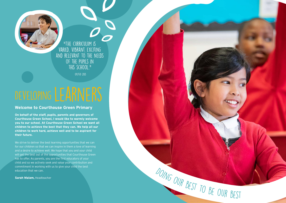**On behalf of the staff, pupils, parents and governors of Courthouse Green School, I would like to warmly welcome you to our school. At Courthouse Green School we want all children to achieve the best that they can. We help all our children to work hard, achieve well and to be aspirant for their future.**

We strive to deliver the best learning opportunities that we can for our children so that we can inspire in them a love of learning and a desire to achieve well. We hope that you and your child will get the best out of the opportunities that Courthouse Green has to offer. As parents, you are the first educators of your child and so we actively seek and value your contribution and commitment in working with us to give your child the best education that we can.

**Sarah Malam,** Headteacher



#### **Welcome to Courthouse Green Primary**



"The curriculum is varied, vibrant, exciting and relevant to the needs of the pupils in this school."

OFSTED 2013

# DEVELOPING LEARNERS



DOING OUR BEST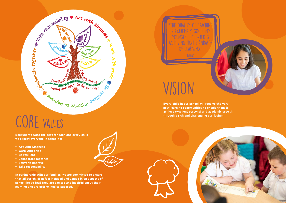"The quality of teaching is extremely good. My youngest daughter is achieving high standards LEARNING."



**Every child in our school will receive the very best learning opportunities to enable them to achieve excellent personal and academic growth through a rich and challenging curriculum.** 







## CORE VALUES

**Because we want the best for each and every child we expect everyone in school to:**

- **• Act with Kindness**
- **• Work with pride**
- **• Be resilient**
- **• Collaborate together**
- **• Strive to improve**
- **• Take responsibility**

**In partnership with our families, we are committed to ensure that all our children feel included and valued in all aspects of school life so that they are excited and inspired about their learning and are determined to succeed.**

**VISION**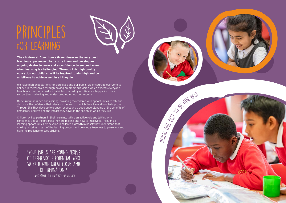### Principles FOR LEARNING



DOING

Nick Barker, The University of Warwick



**The children at Courthouse Green deserve the very best learning experiences that excite them and develop an ongoing desire to learn and a confidence to succeed even when learning is challenging. Through this high quality education our children will be inspired to aim high and be ambitious to achieve well in all they do.**

We have high expectations for ourselves and our pupils, we encourage everyone to believe in themselves through having an ambitious vision which expects everyone to achieve their very best and which is shared by all. We are a happy, inclusive, supportive, nurturing and understanding school community.

Our curriculum is rich and exciting, providing the children with opportunities to talk and discuss with confidence their views on the world in which they live and how to improve it. Through this they develop tolerance, respect and a good understanding of the benefits of democracy and law and the impact they have on the society in which they live.

Children will be partners in their learning, taking an active role and talking with confidence about the progress they are making and how to improve it. Through all learning opportunities we develop in children a growth mindset; they understand that making mistakes is part of the learning process and develop a keenness to persevere and have the resilience to keep striving.

"Your pupils are young people of tremendous potential who worked with great focus and DETERMINATION."

our

best to be our best